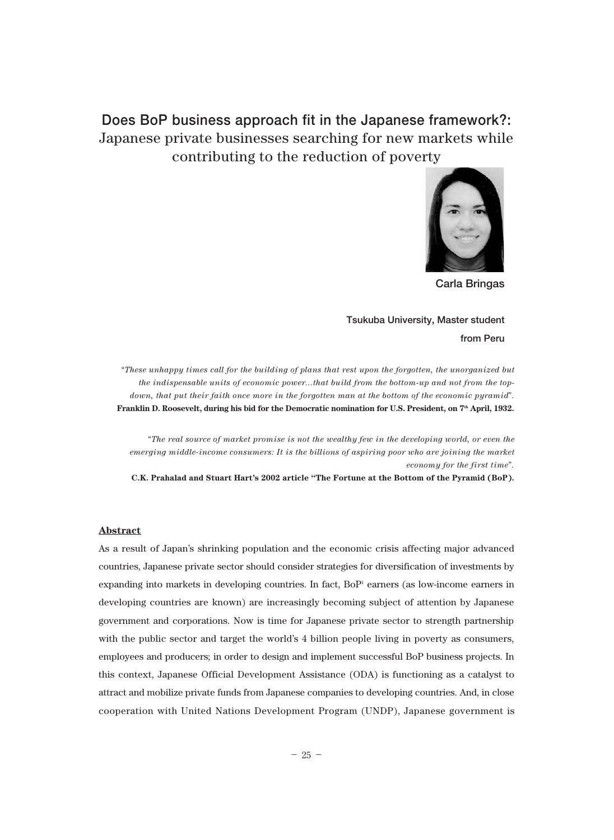# **Does BoP business approach fit in the Japanese framework?:**  Japanese private businesses searching for new markets while contributing to the reduction of poverty



**Carla Bringas**

## **Tsukuba University, Master student from Peru**

"*These unhappy times call for the building of plans that rest upon the forgotten, the unorganized but the indispensable units of economic power...that build from the bottom-up and not from the topdown, that put their faith once more in the forgotten man at the bottom of the economic pyramid*"*.* Franklin D. Roosevelt, during his bid for the Democratic nomination for U.S. President, on 7<sup>th</sup> April, 1932.

"*The real source of market promise is not the wealthy few in the developing world, or even the emerging middle-income consumers: It is the billions of aspiring poor who are joining the market economy for the first time*"*.* 

**C.K. Prahalad and Stuart Hart's 2002 article "The Fortune at the Bottom of the Pyramid (BoP).**

#### **Abstract**

As a result of Japan's shrinking population and the economic crisis affecting major advanced countries, Japanese private sector should consider strategies for diversification of investments by expanding into markets in developing countries. In fact,  $BoP<sup>i</sup>$  earners (as low-income earners in developing countries are known) are increasingly becoming subject of attention by Japanese government and corporations. Now is time for Japanese private sector to strength partnership with the public sector and target the world's 4 billion people living in poverty as consumers, employees and producers; in order to design and implement successful BoP business projects. In this context, Japanese Official Development Assistance (ODA) is functioning as a catalyst to attract and mobilize private funds from Japanese companies to developing countries. And, in close cooperation with United Nations Development Program (UNDP), Japanese government is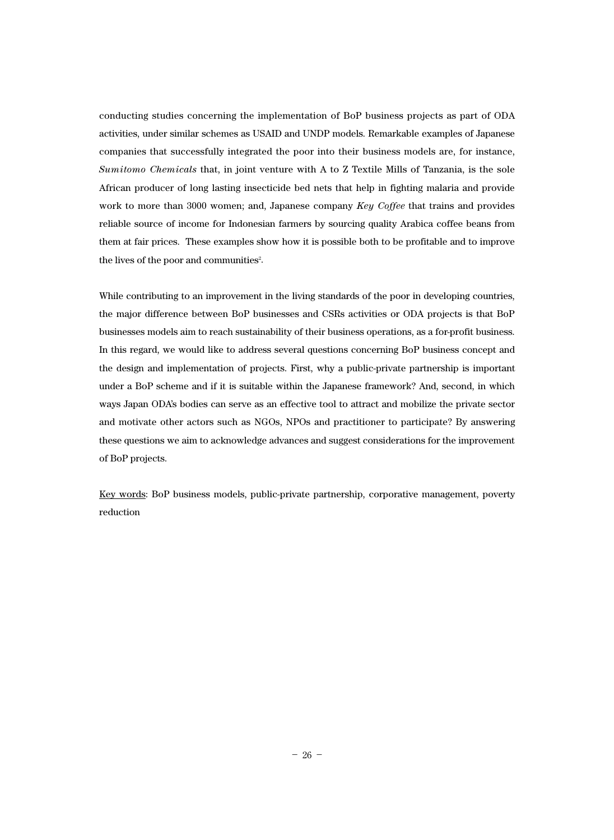conducting studies concerning the implementation of BoP business projects as part of ODA activities, under similar schemes as USAID and UNDP models. Remarkable examples of Japanese companies that successfully integrated the poor into their business models are, for instance, *Sumitomo Chemicals* that, in joint venture with A to Z Textile Mills of Tanzania, is the sole African producer of long lasting insecticide bed nets that help in fighting malaria and provide work to more than 3000 women; and, Japanese company *Key Coffee* that trains and provides reliable source of income for Indonesian farmers by sourcing quality Arabica coffee beans from them at fair prices. These examples show how it is possible both to be profitable and to improve the lives of the poor and communities<sup>2</sup>.

While contributing to an improvement in the living standards of the poor in developing countries, the major difference between BoP businesses and CSRs activities or ODA projects is that BoP businesses models aim to reach sustainability of their business operations, as a for-profit business. In this regard, we would like to address several questions concerning BoP business concept and the design and implementation of projects. First, why a public-private partnership is important under a BoP scheme and if it is suitable within the Japanese framework? And, second, in which ways Japan ODA's bodies can serve as an effective tool to attract and mobilize the private sector and motivate other actors such as NGOs, NPOs and practitioner to participate? By answering these questions we aim to acknowledge advances and suggest considerations for the improvement of BoP projects.

Key words: BoP business models, public-private partnership, corporative management, poverty reduction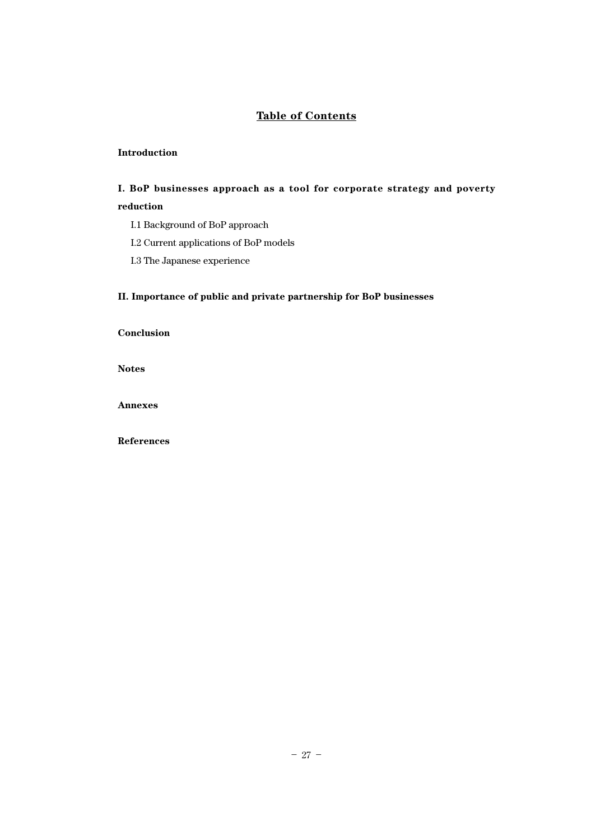## **Table of Contents**

### **Introduction**

## **I. BoP businesses approach as a tool for corporate strategy and poverty reduction**

- I.1 Background of BoP approach
- I.2 Current applications of BoP models
- I.3 The Japanese experience

### **II. Importance of public and private partnership for BoP businesses**

**Conclusion**

**Notes**

**Annexes**

**References**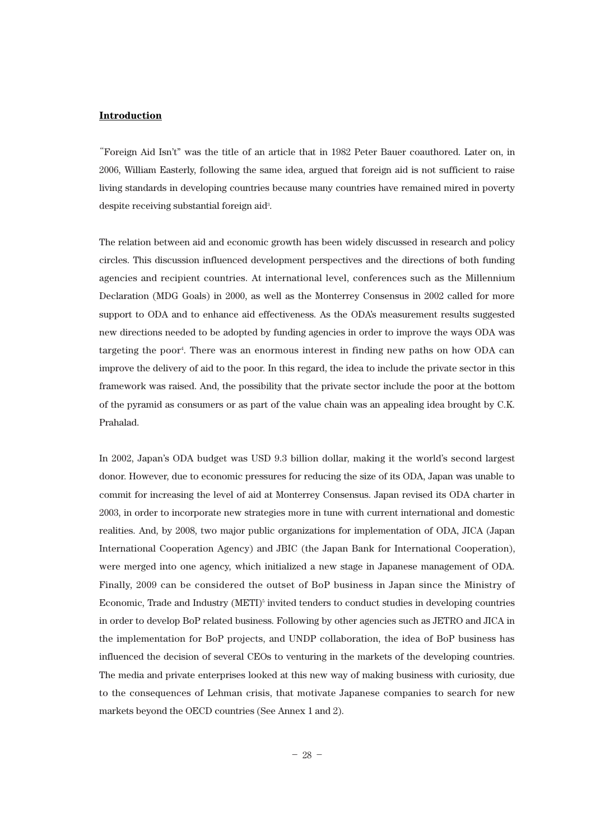#### **Introduction**

**"**Foreign Aid Isn't" was the title of an article that in 1982 Peter Bauer coauthored. Later on, in 2006, William Easterly, following the same idea, argued that foreign aid is not sufficient to raise living standards in developing countries because many countries have remained mired in poverty despite receiving substantial foreign aid<sup>3</sup>.

The relation between aid and economic growth has been widely discussed in research and policy circles. This discussion influenced development perspectives and the directions of both funding agencies and recipient countries. At international level, conferences such as the Millennium Declaration (MDG Goals) in 2000, as well as the Monterrey Consensus in 2002 called for more support to ODA and to enhance aid effectiveness. As the ODA's measurement results suggested new directions needed to be adopted by funding agencies in order to improve the ways ODA was targeting the poor4 . There was an enormous interest in finding new paths on how ODA can improve the delivery of aid to the poor. In this regard, the idea to include the private sector in this framework was raised. And, the possibility that the private sector include the poor at the bottom of the pyramid as consumers or as part of the value chain was an appealing idea brought by C.K. Prahalad.

In 2002, Japan's ODA budget was USD 9.3 billion dollar, making it the world's second largest donor. However, due to economic pressures for reducing the size of its ODA, Japan was unable to commit for increasing the level of aid at Monterrey Consensus. Japan revised its ODA charter in 2003, in order to incorporate new strategies more in tune with current international and domestic realities. And, by 2008, two major public organizations for implementation of ODA, JICA (Japan International Cooperation Agency) and JBIC (the Japan Bank for International Cooperation), were merged into one agency, which initialized a new stage in Japanese management of ODA. Finally, 2009 can be considered the outset of BoP business in Japan since the Ministry of Economic, Trade and Industry  $(METI)^5$  invited tenders to conduct studies in developing countries in order to develop BoP related business. Following by other agencies such as JETRO and JICA in the implementation for BoP projects, and UNDP collaboration, the idea of BoP business has influenced the decision of several CEOs to venturing in the markets of the developing countries. The media and private enterprises looked at this new way of making business with curiosity, due to the consequences of Lehman crisis, that motivate Japanese companies to search for new markets beyond the OECD countries (See Annex 1 and 2).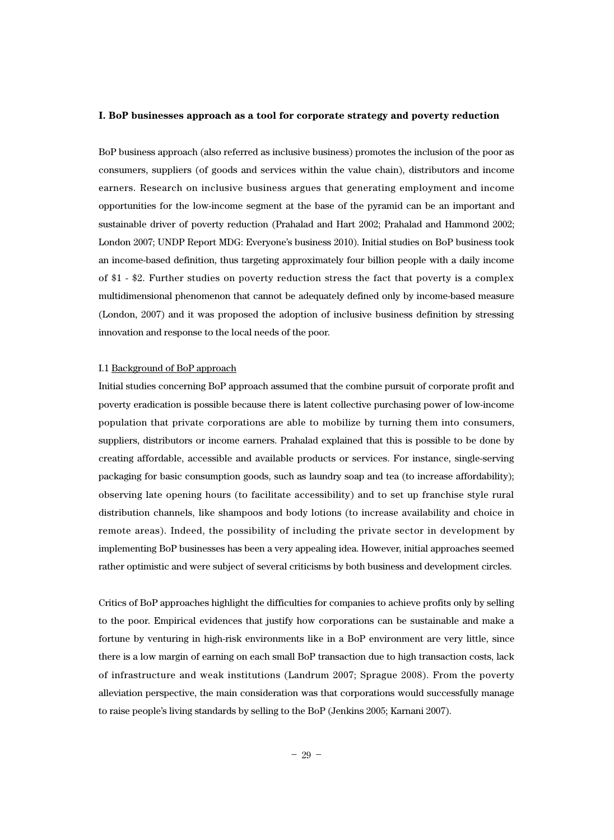#### **I. BoP businesses approach as a tool for corporate strategy and poverty reduction**

BoP business approach (also referred as inclusive business) promotes the inclusion of the poor as consumers, suppliers (of goods and services within the value chain), distributors and income earners. Research on inclusive business argues that generating employment and income opportunities for the low-income segment at the base of the pyramid can be an important and sustainable driver of poverty reduction (Prahalad and Hart 2002; Prahalad and Hammond 2002; London 2007; UNDP Report MDG: Everyone's business 2010). Initial studies on BoP business took an income-based definition, thus targeting approximately four billion people with a daily income of \$1 - \$2. Further studies on poverty reduction stress the fact that poverty is a complex multidimensional phenomenon that cannot be adequately defined only by income-based measure (London, 2007) and it was proposed the adoption of inclusive business definition by stressing innovation and response to the local needs of the poor.

#### I.1 Background of BoP approach

Initial studies concerning BoP approach assumed that the combine pursuit of corporate profit and poverty eradication is possible because there is latent collective purchasing power of low-income population that private corporations are able to mobilize by turning them into consumers, suppliers, distributors or income earners. Prahalad explained that this is possible to be done by creating affordable, accessible and available products or services. For instance, single-serving packaging for basic consumption goods, such as laundry soap and tea (to increase affordability); observing late opening hours (to facilitate accessibility) and to set up franchise style rural distribution channels, like shampoos and body lotions (to increase availability and choice in remote areas). Indeed, the possibility of including the private sector in development by implementing BoP businesses has been a very appealing idea. However, initial approaches seemed rather optimistic and were subject of several criticisms by both business and development circles.

Critics of BoP approaches highlight the difficulties for companies to achieve profits only by selling to the poor. Empirical evidences that justify how corporations can be sustainable and make a fortune by venturing in high-risk environments like in a BoP environment are very little, since there is a low margin of earning on each small BoP transaction due to high transaction costs, lack of infrastructure and weak institutions (Landrum 2007; Sprague 2008). From the poverty alleviation perspective, the main consideration was that corporations would successfully manage to raise people's living standards by selling to the BoP (Jenkins 2005; Karnani 2007).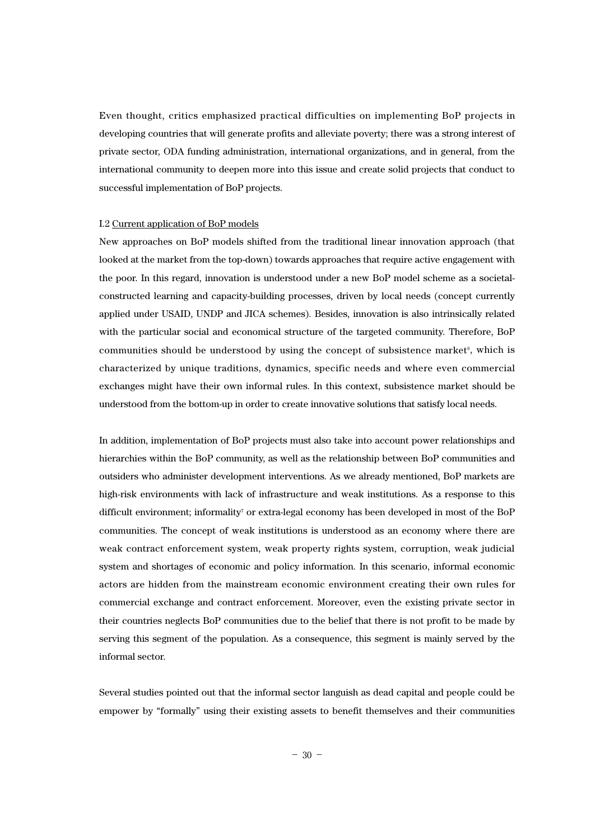Even thought, critics emphasized practical difficulties on implementing BoP projects in developing countries that will generate profits and alleviate poverty; there was a strong interest of private sector, ODA funding administration, international organizations, and in general, from the international community to deepen more into this issue and create solid projects that conduct to successful implementation of BoP projects.

#### I.2 Current application of BoP models

New approaches on BoP models shifted from the traditional linear innovation approach (that looked at the market from the top-down) towards approaches that require active engagement with the poor. In this regard, innovation is understood under a new BoP model scheme as a societalconstructed learning and capacity-building processes, driven by local needs (concept currently applied under USAID, UNDP and JICA schemes). Besides, innovation is also intrinsically related with the particular social and economical structure of the targeted community. Therefore, BoP communities should be understood by using the concept of subsistence market $6$ , which is characterized by unique traditions, dynamics, specific needs and where even commercial exchanges might have their own informal rules. In this context, subsistence market should be understood from the bottom-up in order to create innovative solutions that satisfy local needs.

In addition, implementation of BoP projects must also take into account power relationships and hierarchies within the BoP community, as well as the relationship between BoP communities and outsiders who administer development interventions. As we already mentioned, BoP markets are high-risk environments with lack of infrastructure and weak institutions. As a response to this difficult environment; informality<sup>7</sup> or extra-legal economy has been developed in most of the BoP communities. The concept of weak institutions is understood as an economy where there are weak contract enforcement system, weak property rights system, corruption, weak judicial system and shortages of economic and policy information. In this scenario, informal economic actors are hidden from the mainstream economic environment creating their own rules for commercial exchange and contract enforcement. Moreover, even the existing private sector in their countries neglects BoP communities due to the belief that there is not profit to be made by serving this segment of the population. As a consequence, this segment is mainly served by the informal sector.

Several studies pointed out that the informal sector languish as dead capital and people could be empower by "formally" using their existing assets to benefit themselves and their communities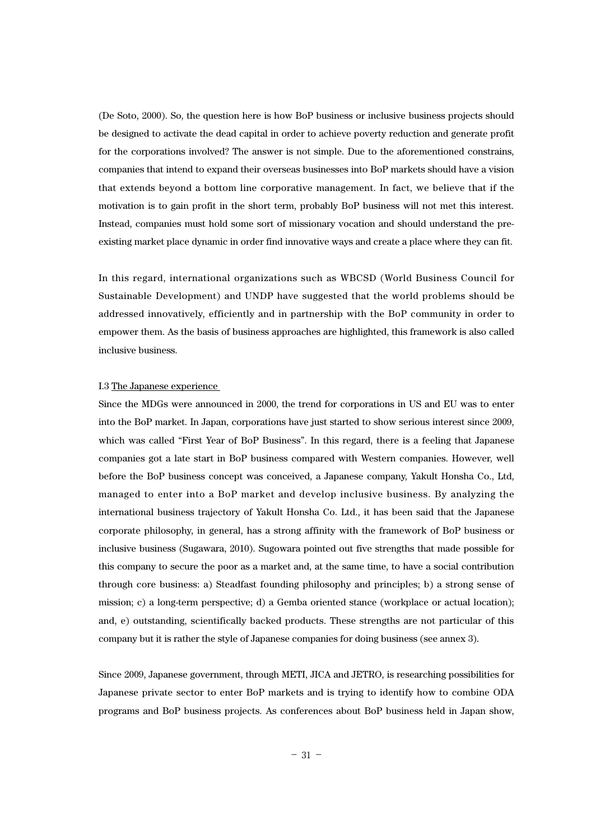(De Soto, 2000). So, the question here is how BoP business or inclusive business projects should be designed to activate the dead capital in order to achieve poverty reduction and generate profit for the corporations involved? The answer is not simple. Due to the aforementioned constrains, companies that intend to expand their overseas businesses into BoP markets should have a vision that extends beyond a bottom line corporative management. In fact, we believe that if the motivation is to gain profit in the short term, probably BoP business will not met this interest. Instead, companies must hold some sort of missionary vocation and should understand the preexisting market place dynamic in order find innovative ways and create a place where they can fit.

In this regard, international organizations such as WBCSD (World Business Council for Sustainable Development) and UNDP have suggested that the world problems should be addressed innovatively, efficiently and in partnership with the BoP community in order to empower them. As the basis of business approaches are highlighted, this framework is also called inclusive business.

#### I.3 The Japanese experience

Since the MDGs were announced in 2000, the trend for corporations in US and EU was to enter into the BoP market. In Japan, corporations have just started to show serious interest since 2009, which was called "First Year of BoP Business". In this regard, there is a feeling that Japanese companies got a late start in BoP business compared with Western companies. However, well before the BoP business concept was conceived, a Japanese company, Yakult Honsha Co., Ltd, managed to enter into a BoP market and develop inclusive business. By analyzing the international business trajectory of Yakult Honsha Co. Ltd., it has been said that the Japanese corporate philosophy, in general, has a strong affinity with the framework of BoP business or inclusive business (Sugawara, 2010). Sugowara pointed out five strengths that made possible for this company to secure the poor as a market and, at the same time, to have a social contribution through core business: a) Steadfast founding philosophy and principles; b) a strong sense of mission; c) a long-term perspective; d) a Gemba oriented stance (workplace or actual location); and, e) outstanding, scientifically backed products. These strengths are not particular of this company but it is rather the style of Japanese companies for doing business (see annex 3).

Since 2009, Japanese government, through METI, JICA and JETRO, is researching possibilities for Japanese private sector to enter BoP markets and is trying to identify how to combine ODA programs and BoP business projects. As conferences about BoP business held in Japan show,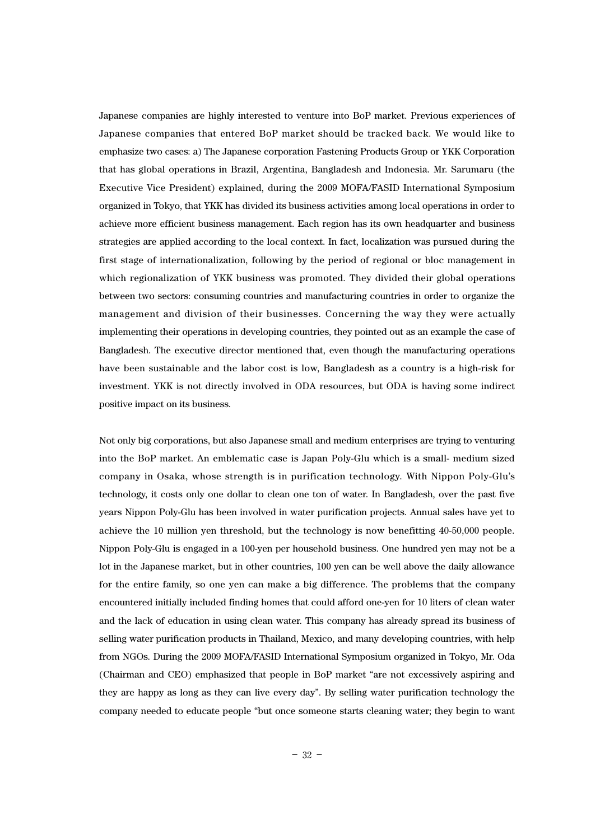Japanese companies are highly interested to venture into BoP market. Previous experiences of Japanese companies that entered BoP market should be tracked back. We would like to emphasize two cases: a) The Japanese corporation Fastening Products Group or YKK Corporation that has global operations in Brazil, Argentina, Bangladesh and Indonesia. Mr. Sarumaru (the Executive Vice President) explained, during the 2009 MOFA/FASID International Symposium organized in Tokyo, that YKK has divided its business activities among local operations in order to achieve more efficient business management. Each region has its own headquarter and business strategies are applied according to the local context. In fact, localization was pursued during the first stage of internationalization, following by the period of regional or bloc management in which regionalization of YKK business was promoted. They divided their global operations between two sectors: consuming countries and manufacturing countries in order to organize the management and division of their businesses. Concerning the way they were actually implementing their operations in developing countries, they pointed out as an example the case of Bangladesh. The executive director mentioned that, even though the manufacturing operations have been sustainable and the labor cost is low, Bangladesh as a country is a high-risk for investment. YKK is not directly involved in ODA resources, but ODA is having some indirect positive impact on its business.

Not only big corporations, but also Japanese small and medium enterprises are trying to venturing into the BoP market. An emblematic case is Japan Poly-Glu which is a small- medium sized company in Osaka, whose strength is in purification technology. With Nippon Poly-Glu's technology, it costs only one dollar to clean one ton of water. In Bangladesh, over the past five years Nippon Poly-Glu has been involved in water purification projects. Annual sales have yet to achieve the 10 million yen threshold, but the technology is now benefitting 40-50,000 people. Nippon Poly-Glu is engaged in a 100-yen per household business. One hundred yen may not be a lot in the Japanese market, but in other countries, 100 yen can be well above the daily allowance for the entire family, so one yen can make a big difference. The problems that the company encountered initially included finding homes that could afford one-yen for 10 liters of clean water and the lack of education in using clean water. This company has already spread its business of selling water purification products in Thailand, Mexico, and many developing countries, with help from NGOs. During the 2009 MOFA/FASID International Symposium organized in Tokyo, Mr. Oda (Chairman and CEO) emphasized that people in BoP market "are not excessively aspiring and they are happy as long as they can live every day". By selling water purification technology the company needed to educate people "but once someone starts cleaning water; they begin to want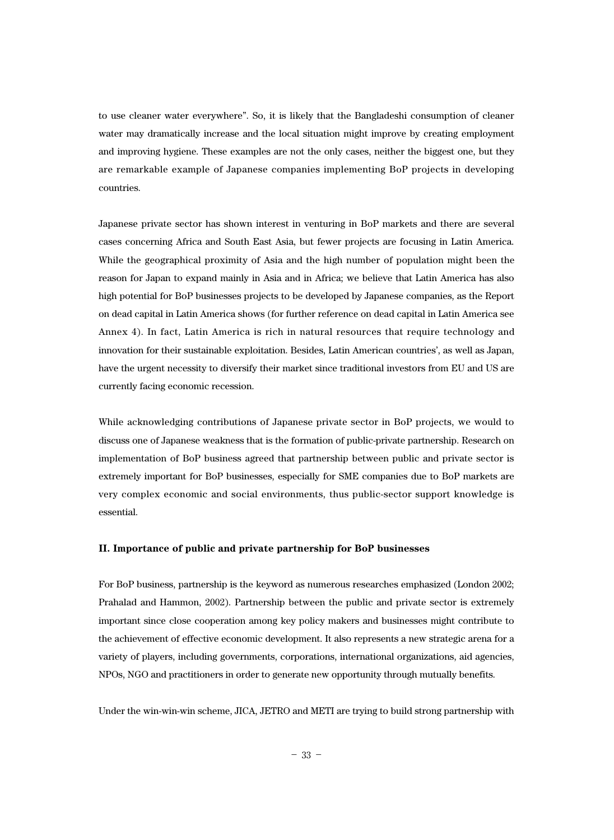to use cleaner water everywhere". So, it is likely that the Bangladeshi consumption of cleaner water may dramatically increase and the local situation might improve by creating employment and improving hygiene. These examples are not the only cases, neither the biggest one, but they are remarkable example of Japanese companies implementing BoP projects in developing countries.

Japanese private sector has shown interest in venturing in BoP markets and there are several cases concerning Africa and South East Asia, but fewer projects are focusing in Latin America. While the geographical proximity of Asia and the high number of population might been the reason for Japan to expand mainly in Asia and in Africa; we believe that Latin America has also high potential for BoP businesses projects to be developed by Japanese companies, as the Report on dead capital in Latin America shows (for further reference on dead capital in Latin America see Annex 4). In fact, Latin America is rich in natural resources that require technology and innovation for their sustainable exploitation. Besides, Latin American countries', as well as Japan, have the urgent necessity to diversify their market since traditional investors from EU and US are currently facing economic recession.

While acknowledging contributions of Japanese private sector in BoP projects, we would to discuss one of Japanese weakness that is the formation of public-private partnership. Research on implementation of BoP business agreed that partnership between public and private sector is extremely important for BoP businesses, especially for SME companies due to BoP markets are very complex economic and social environments, thus public-sector support knowledge is essential.

#### **II. Importance of public and private partnership for BoP businesses**

For BoP business, partnership is the keyword as numerous researches emphasized (London 2002; Prahalad and Hammon, 2002). Partnership between the public and private sector is extremely important since close cooperation among key policy makers and businesses might contribute to the achievement of effective economic development. It also represents a new strategic arena for a variety of players, including governments, corporations, international organizations, aid agencies, NPOs, NGO and practitioners in order to generate new opportunity through mutually benefits.

Under the win-win-win scheme, JICA, JETRO and METI are trying to build strong partnership with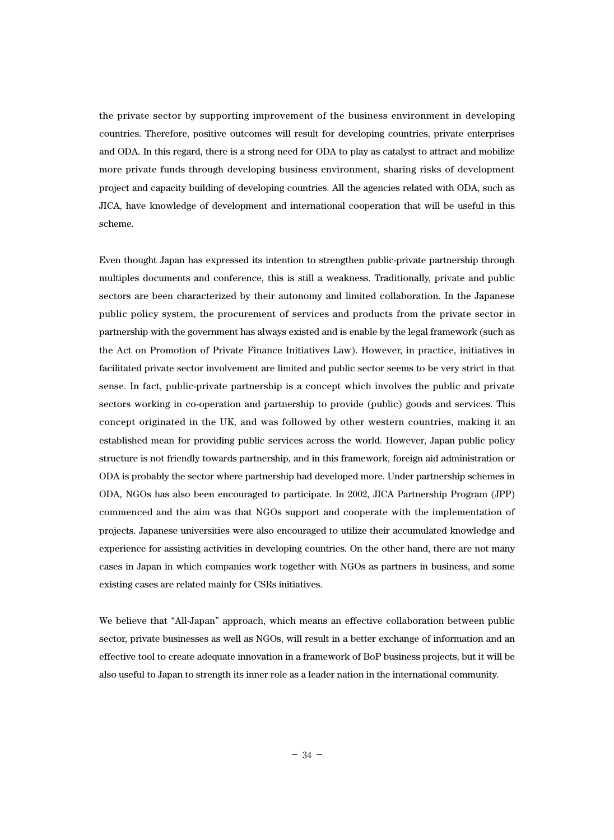the private sector by supporting improvement of the business environment in developing countries. Therefore, positive outcomes will result for developing countries, private enterprises and ODA. In this regard, there is a strong need for ODA to play as catalyst to attract and mobilize more private funds through developing business environment, sharing risks of development project and capacity building of developing countries. All the agencies related with ODA, such as JICA, have knowledge of development and international cooperation that will be useful in this scheme.

Even thought Japan has expressed its intention to strengthen public-private partnership through multiples documents and conference, this is still a weakness. Traditionally, private and public sectors are been characterized by their autonomy and limited collaboration. In the Japanese public policy system, the procurement of services and products from the private sector in partnership with the government has always existed and is enable by the legal framework (such as the Act on Promotion of Private Finance Initiatives Law). However, in practice, initiatives in facilitated private sector involvement are limited and public sector seems to be very strict in that sense. In fact, public-private partnership is a concept which involves the public and private sectors working in co-operation and partnership to provide (public) goods and services. This concept originated in the UK, and was followed by other western countries, making it an established mean for providing public services across the world. However, Japan public policy structure is not friendly towards partnership, and in this framework, foreign aid administration or ODA is probably the sector where partnership had developed more. Under partnership schemes in ODA, NGOs has also been encouraged to participate. In 2002, JICA Partnership Program (JPP) commenced and the aim was that NGOs support and cooperate with the implementation of projects. Japanese universities were also encouraged to utilize their accumulated knowledge and experience for assisting activities in developing countries. On the other hand, there are not many cases in Japan in which companies work together with NGOs as partners in business, and some existing cases are related mainly for CSRs initiatives.

We believe that "All-Japan" approach, which means an effective collaboration between public sector, private businesses as well as NGOs, will result in a better exchange of information and an effective tool to create adequate innovation in a framework of BoP business projects, but it will be also useful to Japan to strength its inner role as a leader nation in the international community.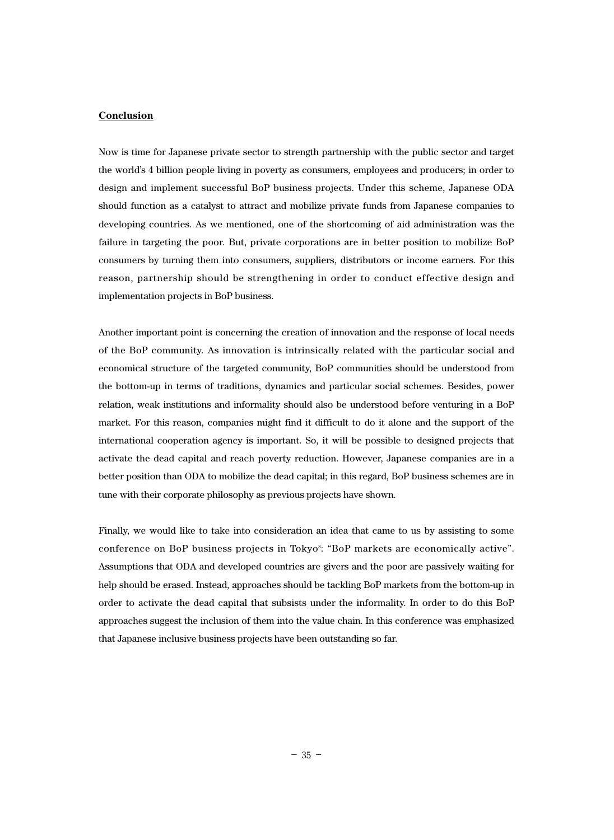#### **Conclusion**

Now is time for Japanese private sector to strength partnership with the public sector and target the world's 4 billion people living in poverty as consumers, employees and producers; in order to design and implement successful BoP business projects. Under this scheme, Japanese ODA should function as a catalyst to attract and mobilize private funds from Japanese companies to developing countries. As we mentioned, one of the shortcoming of aid administration was the failure in targeting the poor. But, private corporations are in better position to mobilize BoP consumers by turning them into consumers, suppliers, distributors or income earners. For this reason, partnership should be strengthening in order to conduct effective design and implementation projects in BoP business.

Another important point is concerning the creation of innovation and the response of local needs of the BoP community. As innovation is intrinsically related with the particular social and economical structure of the targeted community, BoP communities should be understood from the bottom-up in terms of traditions, dynamics and particular social schemes. Besides, power relation, weak institutions and informality should also be understood before venturing in a BoP market. For this reason, companies might find it difficult to do it alone and the support of the international cooperation agency is important. So, it will be possible to designed projects that activate the dead capital and reach poverty reduction. However, Japanese companies are in a better position than ODA to mobilize the dead capital; in this regard, BoP business schemes are in tune with their corporate philosophy as previous projects have shown.

Finally, we would like to take into consideration an idea that came to us by assisting to some conference on BoP business projects in Tokyo<sup>s</sup>: "BoP markets are economically active". Assumptions that ODA and developed countries are givers and the poor are passively waiting for help should be erased. Instead, approaches should be tackling BoP markets from the bottom-up in order to activate the dead capital that subsists under the informality. In order to do this BoP approaches suggest the inclusion of them into the value chain. In this conference was emphasized that Japanese inclusive business projects have been outstanding so far.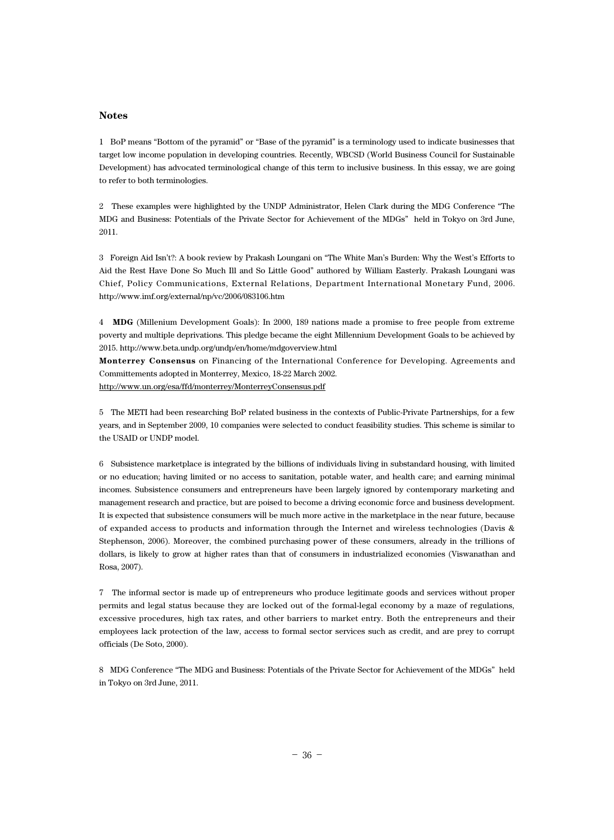#### **Notes**

1 BoP means "Bottom of the pyramid" or "Base of the pyramid" is a terminology used to indicate businesses that target low income population in developing countries. Recently, WBCSD (World Business Council for Sustainable Development) has advocated terminological change of this term to inclusive business. In this essay, we are going to refer to both terminologies.

2 These examples were highlighted by the UNDP Administrator, Helen Clark during the MDG Conference "The MDG and Business: Potentials of the Private Sector for Achievement of the MDGs" held in Tokyo on 3rd June, 2011.

3 Foreign Aid Isn't?: A book review by Prakash Loungani on "The White Man's Burden: Why the West's Efforts to Aid the Rest Have Done So Much Ill and So Little Good" authored by William Easterly. Prakash Loungani was Chief, Policy Communications, External Relations, Department International Monetary Fund, 2006. http://www.imf.org/external/np/vc/2006/083106.htm

4 **MDG** (Millenium Development Goals): In 2000, 189 nations made a promise to free people from extreme poverty and multiple deprivations. This pledge became the eight Millennium Development Goals to be achieved by 2015. http://www.beta.undp.org/undp/en/home/mdgoverview.html

**Monterrey Consensus** on Financing of the International Conference for Developing. Agreements and Committements adopted in Monterrey, Mexico, 18-22 March 2002. http://www.un.org/esa/ffd/monterrey/MonterreyConsensus.pdf

5 The METI had been researching BoP related business in the contexts of Public-Private Partnerships, for a few years, and in September 2009, 10 companies were selected to conduct feasibility studies. This scheme is similar to the USAID or UNDP model.

6 Subsistence marketplace is integrated by the billions of individuals living in substandard housing, with limited or no education; having limited or no access to sanitation, potable water, and health care; and earning minimal incomes. Subsistence consumers and entrepreneurs have been largely ignored by contemporary marketing and management research and practice, but are poised to become a driving economic force and business development. It is expected that subsistence consumers will be much more active in the marketplace in the near future, because of expanded access to products and information through the Internet and wireless technologies (Davis & Stephenson, 2006). Moreover, the combined purchasing power of these consumers, already in the trillions of dollars, is likely to grow at higher rates than that of consumers in industrialized economies (Viswanathan and Rosa, 2007).

7 The informal sector is made up of entrepreneurs who produce legitimate goods and services without proper permits and legal status because they are locked out of the formal-legal economy by a maze of regulations, excessive procedures, high tax rates, and other barriers to market entry. Both the entrepreneurs and their employees lack protection of the law, access to formal sector services such as credit, and are prey to corrupt officials (De Soto, 2000).

8 MDG Conference "The MDG and Business: Potentials of the Private Sector for Achievement of the MDGs" held in Tokyo on 3rd June, 2011.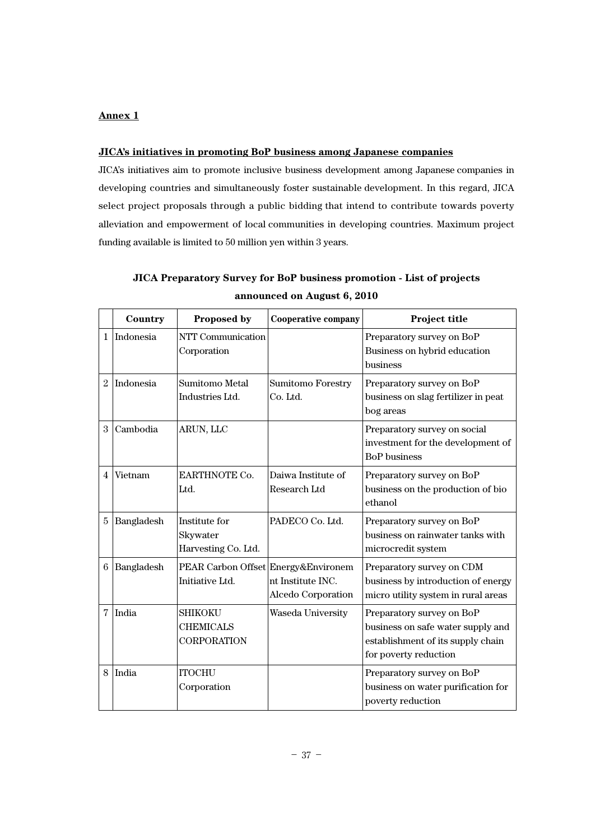### **JICA's initiatives in promoting BoP business among Japanese companies**

JICA's initiatives aim to promote inclusive business development among Japanese companies in developing countries and simultaneously foster sustainable development. In this regard, JICA select project proposals through a public bidding that intend to contribute towards poverty alleviation and empowerment of local communities in developing countries. Maximum project funding available is limited to 50 million yen within 3 years.

|   | Country    | Proposed by                                              | <b>Cooperative company</b>                     | Project title                                                                                                                |
|---|------------|----------------------------------------------------------|------------------------------------------------|------------------------------------------------------------------------------------------------------------------------------|
| 1 | Indonesia  | NTT Communication<br>Corporation                         |                                                | Preparatory survey on BoP<br>Business on hybrid education<br>business                                                        |
| 2 | Indonesia  | <b>Sumitomo Metal</b><br>Industries Ltd.                 | <b>Sumitomo Forestry</b><br>Co. Ltd.           | Preparatory survey on BoP<br>business on slag fertilizer in peat<br>bog areas                                                |
| 3 | Cambodia   | ARUN, LLC                                                |                                                | Preparatory survey on social<br>investment for the development of<br><b>BoP</b> business                                     |
| 4 | Vietnam    | EARTHNOTE Co.<br>Ltd.                                    | Daiwa Institute of<br>Research Ltd             | Preparatory survey on BoP<br>business on the production of bio<br>ethanol                                                    |
| 5 | Bangladesh | Institute for<br>Skywater<br>Harvesting Co. Ltd.         | PADECO Co. Ltd.                                | Preparatory survey on BoP<br>business on rainwater tanks with<br>microcredit system                                          |
| 6 | Bangladesh | PEAR Carbon Offset Energy&Environem<br>Initiative Ltd.   | nt Institute INC.<br><b>Alcedo Corporation</b> | Preparatory survey on CDM<br>business by introduction of energy<br>micro utility system in rural areas                       |
| 7 | India      | <b>SHIKOKU</b><br><b>CHEMICALS</b><br><b>CORPORATION</b> | Waseda University                              | Preparatory survey on BoP<br>business on safe water supply and<br>establishment of its supply chain<br>for poverty reduction |
| 8 | India      | <b>ITOCHU</b><br>Corporation                             |                                                | Preparatory survey on BoP<br>business on water purification for<br>poverty reduction                                         |

## **JICA Preparatory Survey for BoP business promotion - List of projects announced on August 6, 2010**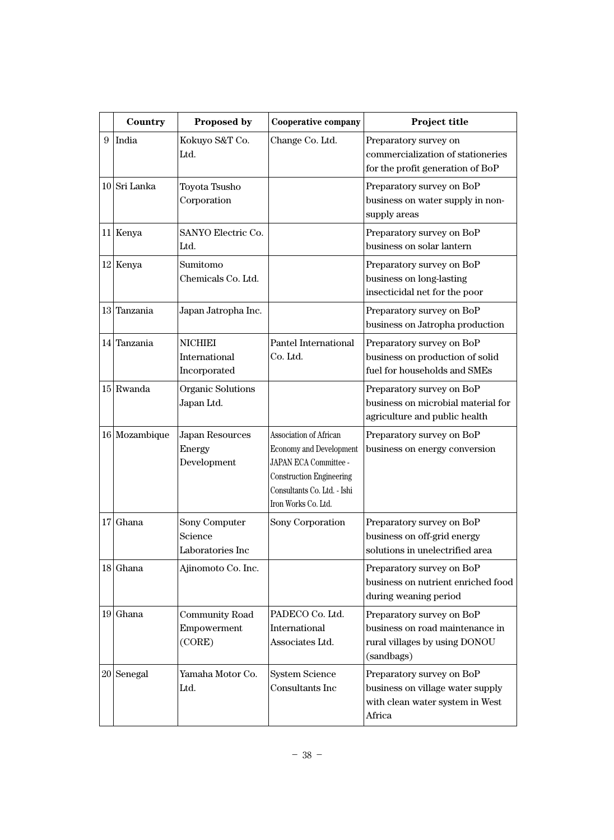|   | Country       | <b>Proposed by</b>                              | <b>Cooperative company</b>                                                                                                                                                 | Project title                                                                                               |  |
|---|---------------|-------------------------------------------------|----------------------------------------------------------------------------------------------------------------------------------------------------------------------------|-------------------------------------------------------------------------------------------------------------|--|
| 9 | India         | Kokuyo S&T Co.<br>Ltd.                          | Change Co. Ltd.                                                                                                                                                            | Preparatory survey on<br>commercialization of stationeries<br>for the profit generation of BoP              |  |
|   | 10 Sri Lanka  | Toyota Tsusho<br>Corporation                    |                                                                                                                                                                            | Preparatory survey on BoP<br>business on water supply in non-<br>supply areas                               |  |
|   | 11 Kenya      | <b>SANYO Electric Co.</b><br>Ltd.               |                                                                                                                                                                            | Preparatory survey on BoP<br>business on solar lantern                                                      |  |
|   | $12$ Kenya    | Sumitomo<br>Chemicals Co. Ltd.                  |                                                                                                                                                                            | Preparatory survey on BoP<br>business on long-lasting<br>insecticidal net for the poor                      |  |
|   | 13 Tanzania   | Japan Jatropha Inc.                             |                                                                                                                                                                            | Preparatory survey on BoP<br>business on Jatropha production                                                |  |
|   | 14 Tanzania   | <b>NICHIEI</b><br>International<br>Incorporated | Pantel International<br>Co. Ltd.                                                                                                                                           | Preparatory survey on BoP<br>business on production of solid<br>fuel for households and SMEs                |  |
|   | $15$ Rwanda   | Organic Solutions<br>Japan Ltd.                 |                                                                                                                                                                            | Preparatory survey on BoP<br>business on microbial material for<br>agriculture and public health            |  |
|   | 16 Mozambique | <b>Japan Resources</b><br>Energy<br>Development | Association of African<br><b>Economy and Development</b><br>JAPAN ECA Committee -<br><b>Construction Engineering</b><br>Consultants Co. Ltd. - Ishi<br>Iron Works Co. Ltd. | Preparatory survey on BoP<br>business on energy conversion                                                  |  |
|   | $17$ Ghana    | Sony Computer<br>Science<br>Laboratories Inc    | Sony Corporation                                                                                                                                                           | Preparatory survey on BoP<br>business on off-grid energy<br>solutions in unelectrified area                 |  |
|   | 18 Ghana      | Ajinomoto Co. Inc.                              |                                                                                                                                                                            | Preparatory survey on BoP<br>business on nutrient enriched food<br>during weaning period                    |  |
|   | $19$ Ghana    | <b>Community Road</b><br>Empowerment<br>(CORE)  | PADECO Co. Ltd.<br>International<br>Associates Ltd.                                                                                                                        | Preparatory survey on BoP<br>business on road maintenance in<br>rural villages by using DONOU<br>(sandbags) |  |
|   | $20$  Senegal | Yamaha Motor Co.<br>Ltd.                        | <b>System Science</b><br>Consultants Inc                                                                                                                                   | Preparatory survey on BoP<br>business on village water supply<br>with clean water system in West<br>Africa  |  |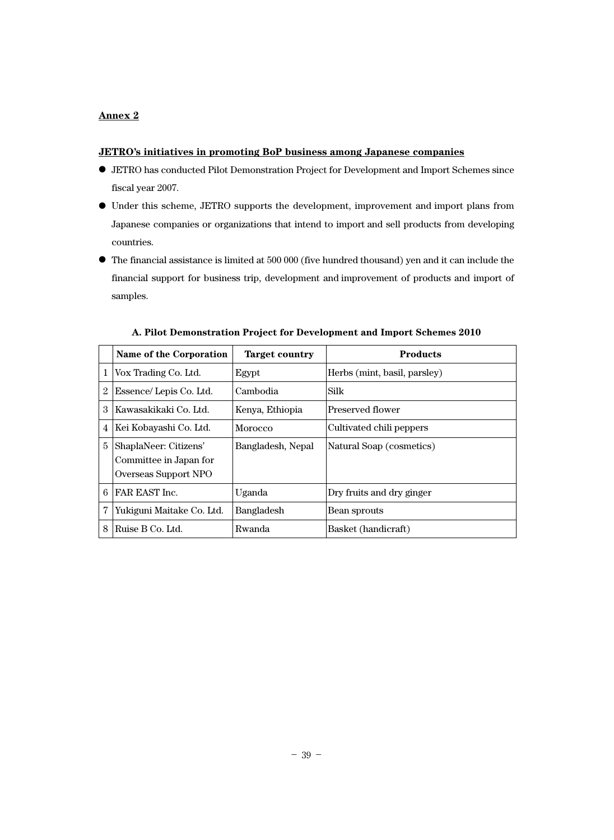### **JETRO's initiatives in promoting BoP business among Japanese companies**

- **●** JETRO has conducted Pilot Demonstration Project for Development and Import Schemes since fiscal year 2007.
- **●** Under this scheme, JETRO supports the development, improvement and import plans from Japanese companies or organizations that intend to import and sell products from developing countries.
- **●** The financial assistance is limited at 500 000 (five hundred thousand) yen and it can include the financial support for business trip, development and improvement of products and import of samples.

|   | Name of the Corporation                                                 | <b>Target country</b> | <b>Products</b>              |
|---|-------------------------------------------------------------------------|-----------------------|------------------------------|
| 1 | Vox Trading Co. Ltd.                                                    | Egypt                 | Herbs (mint, basil, parsley) |
|   | Essence/Lepis Co. Ltd.                                                  | Cambodia              | Silk                         |
| 3 | Kawasakikaki Co. Ltd.                                                   | Kenya, Ethiopia       | Preserved flower             |
| 4 | Kei Kobayashi Co. Ltd.                                                  | Morocco               | Cultivated chili peppers     |
| 5 | ShaplaNeer: Citizens'<br>Committee in Japan for<br>Overseas Support NPO | Bangladesh, Nepal     | Natural Soap (cosmetics)     |
| 6 | FAR EAST Inc.                                                           | Uganda                | Dry fruits and dry ginger    |
| 7 | Yukiguni Maitake Co. Ltd.                                               | <b>Bangladesh</b>     | Bean sprouts                 |
| 8 | Ruise B Co. Ltd.                                                        | Rwanda                | Basket (handicraft)          |

### **A. Pilot Demonstration Project for Development and Import Schemes 2010**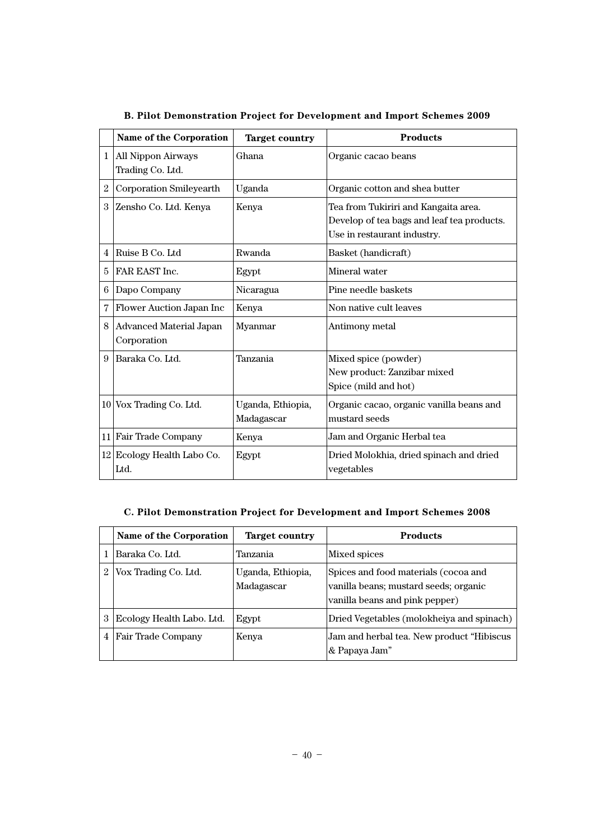|   | Name of the Corporation                       | <b>Target country</b>           | <b>Products</b>                                                                                                   |
|---|-----------------------------------------------|---------------------------------|-------------------------------------------------------------------------------------------------------------------|
| 1 | <b>All Nippon Airways</b><br>Trading Co. Ltd. | Ghana                           | Organic cacao beans                                                                                               |
| 2 | <b>Corporation Smileyearth</b>                | Uganda                          | Organic cotton and shea butter                                                                                    |
| 3 | Zensho Co. Ltd. Kenya                         | Kenya                           | Tea from Tukiriri and Kangaita area.<br>Develop of tea bags and leaf tea products.<br>Use in restaurant industry. |
| 4 | Ruise B Co. Ltd                               | Rwanda                          | Basket (handicraft)                                                                                               |
| 5 | FAR EAST Inc.                                 | Egypt                           | Mineral water                                                                                                     |
| 6 | Dapo Company                                  | Nicaragua                       | Pine needle baskets                                                                                               |
| 7 | Flower Auction Japan Inc                      | Kenya                           | Non native cult leaves                                                                                            |
| 8 | <b>Advanced Material Japan</b><br>Corporation | Myanmar                         | Antimony metal                                                                                                    |
| 9 | Baraka Co. Ltd.                               | Tanzania                        | Mixed spice (powder)<br>New product: Zanzibar mixed<br>Spice (mild and hot)                                       |
|   | $10$ Vox Trading Co. Ltd.                     | Uganda, Ethiopia,<br>Madagascar | Organic cacao, organic vanilla beans and<br>mustard seeds                                                         |
|   | 11 Fair Trade Company                         | Kenya                           | Jam and Organic Herbal tea                                                                                        |
|   | 12 Ecology Health Labo Co.<br>Ltd.            | Egypt                           | Dried Molokhia, dried spinach and dried<br>vegetables                                                             |

## **B. Pilot Demonstration Project for Development and Import Schemes 2009**

## **C. Pilot Demonstration Project for Development and Import Schemes 2008**

|   | Name of the Corporation   | Target country                  | <b>Products</b>                                                                                                 |
|---|---------------------------|---------------------------------|-----------------------------------------------------------------------------------------------------------------|
|   | Baraka Co. Ltd.           | Tanzania                        | Mixed spices                                                                                                    |
|   | Vox Trading Co. Ltd.      | Uganda, Ethiopia,<br>Madagascar | Spices and food materials (cocoa and<br>vanilla beans; mustard seeds; organic<br>vanilla beans and pink pepper) |
| 3 | Ecology Health Labo. Ltd. | Egypt                           | Dried Vegetables (molokheiya and spinach)                                                                       |
| 4 | Fair Trade Company        | Kenya                           | Jam and herbal tea. New product "Hibiscus"<br>& Papaya Jam"                                                     |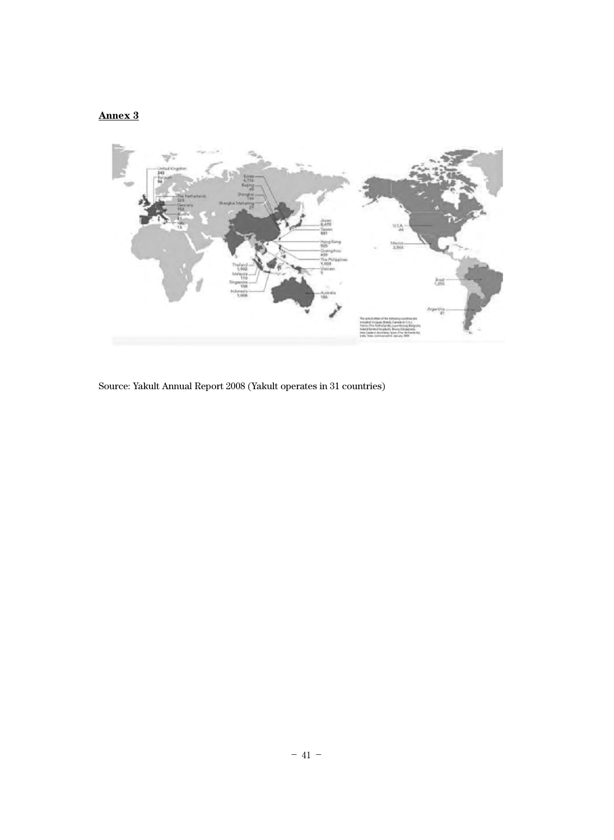

Source: Yakult Annual Report 2008 (Yakult operates in 31 countries)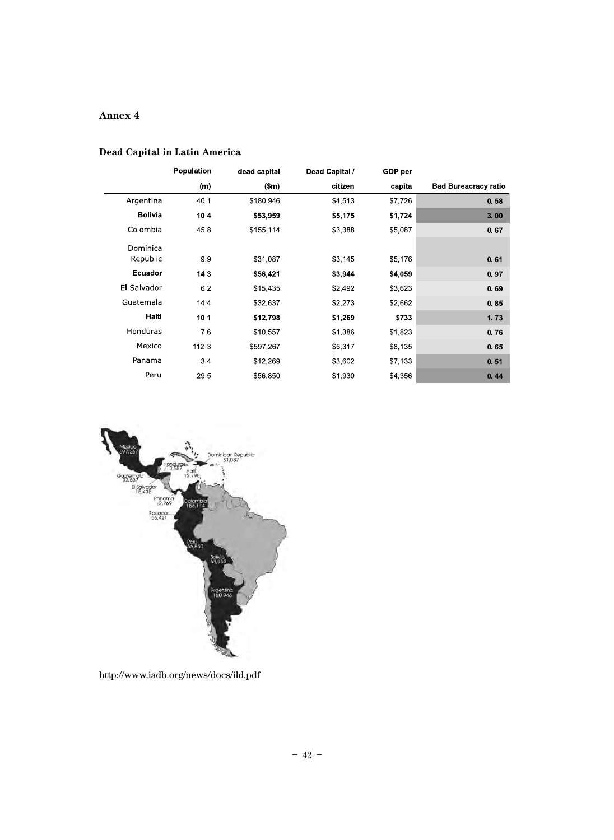## **Dead Capital in Latin America**

|                | <b>Population</b> | dead capital | Dead Capital / | GDP per |                             |
|----------------|-------------------|--------------|----------------|---------|-----------------------------|
|                | (m)               | \$m\$        | citizen        | capita  | <b>Bad Bureacracy ratio</b> |
| Argentina      | 40.1              | \$180,946    | \$4,513        | \$7,726 | 0.58                        |
| <b>Bolivia</b> | 10.4              | \$53,959     | \$5,175        | \$1,724 | 3.00                        |
| Colombia       | 45.8              | \$155,114    | \$3,388        | \$5,087 | 0.67                        |
| Dominica       |                   |              |                |         |                             |
| Republic       | 99                | \$31,087     | \$3,145        | \$5,176 | 0.61                        |
| Ecuador        | 143               | \$56,421     | \$3,944        | \$4,059 | 0.97                        |
| El Salvador    | 6.2               | \$15,435     | \$2,492        | \$3,623 | 0.69                        |
| Guatemala      | 14.4              | \$32,637     | \$2,273        | \$2,662 | 0.85                        |
| Haiti          | 10.1              | \$12,798     | \$1,269        | \$733   | 1.73                        |
| Honduras       | 76                | \$10,557     | \$1,386        | \$1,823 | 0.76                        |
| Mexico         | 112.3             | \$597,267    | \$5,317        | \$8,135 | 0.65                        |
| Panama         | 34                | \$12,269     | \$3,602        | \$7,133 | 0.51                        |
| Peru           | 29.5              | \$56,850     | \$1,930        | \$4,356 | 0.44                        |



http://www.iadb.org/news/docs/ild.pdf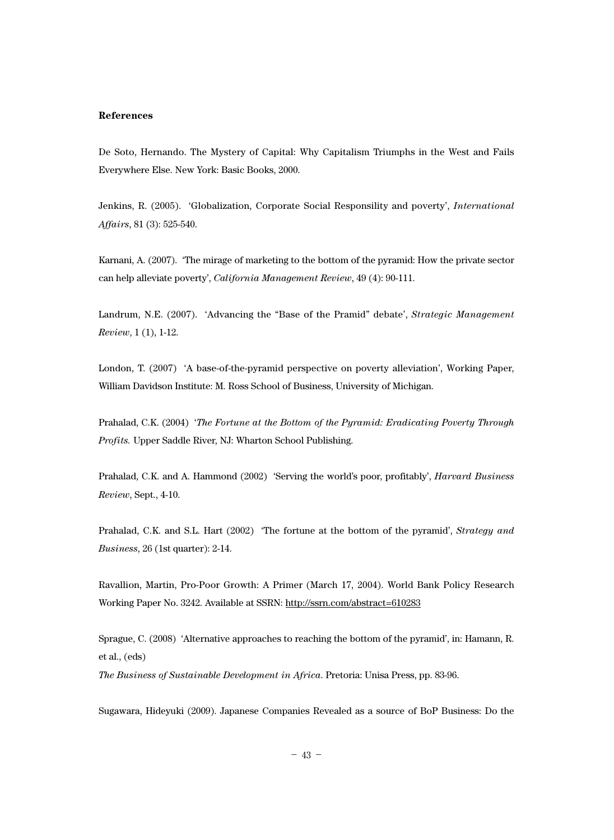#### **References**

De Soto, Hernando. The Mystery of Capital: Why Capitalism Triumphs in the West and Fails Everywhere Else. New York: Basic Books, 2000.

Jenkins, R. (2005). 'Globalization, Corporate Social Responsility and poverty', *International Affairs*, 81 (3): 525-540.

Karnani, A. (2007). 'The mirage of marketing to the bottom of the pyramid: How the private sector can help alleviate poverty', *California Management Review*, 49 (4): 90-111.

Landrum, N.E. (2007). 'Advancing the "Base of the Pramid" debate', *Strategic Management Review*, 1 (1), 1-12.

London, T. (2007) 'A base-of-the-pyramid perspective on poverty alleviation', Working Paper, William Davidson Institute: M. Ross School of Business, University of Michigan.

Prahalad, C.K. (2004) '*The Fortune at the Bottom of the Pyramid: Eradicating Poverty Through Profits.* Upper Saddle River, NJ: Wharton School Publishing.

Prahalad, C.K. and A. Hammond (2002) 'Serving the world's poor, profitably', *Harvard Business Review*, Sept., 4-10.

Prahalad, C.K. and S.L. Hart (2002) 'The fortune at the bottom of the pyramid', *Strategy and Business*, 26 (1st quarter): 2-14.

Ravallion, Martin, Pro-Poor Growth: A Primer (March 17, 2004). World Bank Policy Research Working Paper No. 3242. Available at SSRN: http://ssrn.com/abstract=610283

Sprague, C. (2008) 'Alternative approaches to reaching the bottom of the pyramid', in: Hamann, R. et al., (eds)

*The Business of Sustainable Development in Africa*. Pretoria: Unisa Press, pp. 83-96.

Sugawara, Hideyuki (2009). Japanese Companies Revealed as a source of BoP Business: Do the